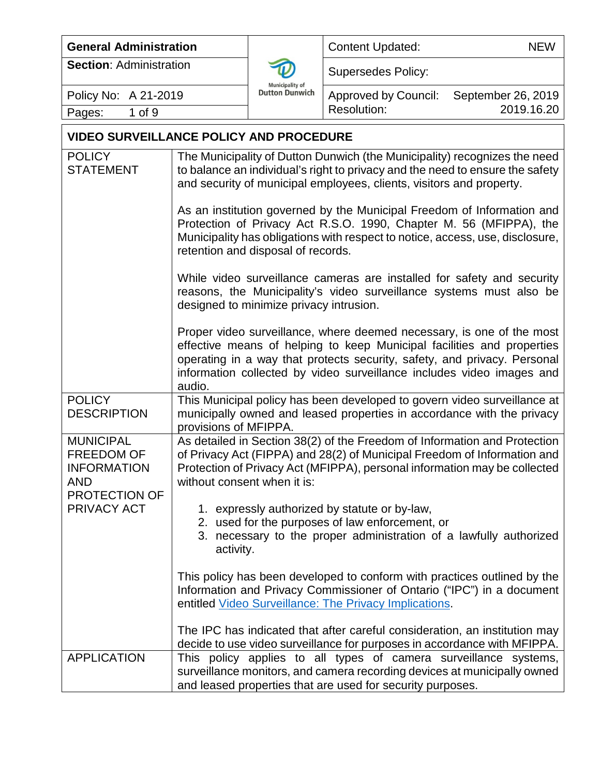| <b>General Administration</b>                                                              |                                                                                                                                                                                                                                                                     |                                                 | <b>Content Updated:</b>                                                                                                                                                                                                                                                                              | <b>NEW</b>         |  |
|--------------------------------------------------------------------------------------------|---------------------------------------------------------------------------------------------------------------------------------------------------------------------------------------------------------------------------------------------------------------------|-------------------------------------------------|------------------------------------------------------------------------------------------------------------------------------------------------------------------------------------------------------------------------------------------------------------------------------------------------------|--------------------|--|
| <b>Section: Administration</b>                                                             |                                                                                                                                                                                                                                                                     |                                                 | <b>Supersedes Policy:</b>                                                                                                                                                                                                                                                                            |                    |  |
| Policy No: A 21-2019                                                                       |                                                                                                                                                                                                                                                                     | <b>Municipality of</b><br><b>Dutton Dunwich</b> | <b>Approved by Council:</b>                                                                                                                                                                                                                                                                          | September 26, 2019 |  |
| 1 of 9<br>Pages:                                                                           |                                                                                                                                                                                                                                                                     |                                                 | <b>Resolution:</b>                                                                                                                                                                                                                                                                                   | 2019.16.20         |  |
| <b>VIDEO SURVEILLANCE POLICY AND PROCEDURE</b>                                             |                                                                                                                                                                                                                                                                     |                                                 |                                                                                                                                                                                                                                                                                                      |                    |  |
| <b>POLICY</b><br><b>STATEMENT</b>                                                          | The Municipality of Dutton Dunwich (the Municipality) recognizes the need<br>to balance an individual's right to privacy and the need to ensure the safety<br>and security of municipal employees, clients, visitors and property.                                  |                                                 |                                                                                                                                                                                                                                                                                                      |                    |  |
|                                                                                            | As an institution governed by the Municipal Freedom of Information and<br>Protection of Privacy Act R.S.O. 1990, Chapter M. 56 (MFIPPA), the<br>Municipality has obligations with respect to notice, access, use, disclosure,<br>retention and disposal of records. |                                                 |                                                                                                                                                                                                                                                                                                      |                    |  |
|                                                                                            | While video surveillance cameras are installed for safety and security<br>reasons, the Municipality's video surveillance systems must also be<br>designed to minimize privacy intrusion.                                                                            |                                                 |                                                                                                                                                                                                                                                                                                      |                    |  |
|                                                                                            | audio.                                                                                                                                                                                                                                                              |                                                 | Proper video surveillance, where deemed necessary, is one of the most<br>effective means of helping to keep Municipal facilities and properties<br>operating in a way that protects security, safety, and privacy. Personal<br>information collected by video surveillance includes video images and |                    |  |
| <b>POLICY</b><br><b>DESCRIPTION</b>                                                        | provisions of MFIPPA.                                                                                                                                                                                                                                               |                                                 | This Municipal policy has been developed to govern video surveillance at<br>municipally owned and leased properties in accordance with the privacy                                                                                                                                                   |                    |  |
| <b>MUNICIPAL</b><br>FREEDOM OF<br><b>INFORMATION</b><br><b>AND</b><br><b>PROTECTION OF</b> |                                                                                                                                                                                                                                                                     | without consent when it is:                     | As detailed in Section 38(2) of the Freedom of Information and Protection<br>of Privacy Act (FIPPA) and 28(2) of Municipal Freedom of Information and<br>Protection of Privacy Act (MFIPPA), personal information may be collected                                                                   |                    |  |
| PRIVACY ACT                                                                                | 1. expressly authorized by statute or by-law,<br>2. used for the purposes of law enforcement, or<br>3. necessary to the proper administration of a lawfully authorized<br>activity.                                                                                 |                                                 |                                                                                                                                                                                                                                                                                                      |                    |  |
|                                                                                            |                                                                                                                                                                                                                                                                     |                                                 | This policy has been developed to conform with practices outlined by the<br>Information and Privacy Commissioner of Ontario ("IPC") in a document<br>entitled Video Surveillance: The Privacy Implications.                                                                                          |                    |  |
| <b>APPLICATION</b>                                                                         |                                                                                                                                                                                                                                                                     |                                                 | The IPC has indicated that after careful consideration, an institution may<br>decide to use video surveillance for purposes in accordance with MFIPPA.<br>This policy applies to all types of camera surveillance systems,                                                                           |                    |  |
|                                                                                            |                                                                                                                                                                                                                                                                     |                                                 | surveillance monitors, and camera recording devices at municipally owned<br>and leased properties that are used for security purposes.                                                                                                                                                               |                    |  |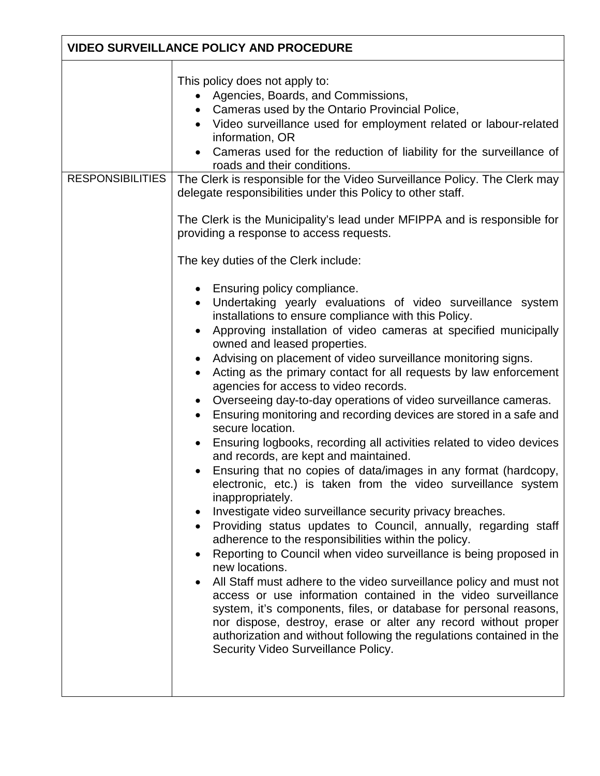| <b>VIDEO SURVEILLANCE POLICY AND PROCEDURE</b> |                                                                                                                                                                                                                                                                                                                                                                                                                                                                                                                                                                                                                                                                                                                                                                                                                                                                                                                                                                                                                                                                                                                                                                                                                                                                                                                                                                     |  |
|------------------------------------------------|---------------------------------------------------------------------------------------------------------------------------------------------------------------------------------------------------------------------------------------------------------------------------------------------------------------------------------------------------------------------------------------------------------------------------------------------------------------------------------------------------------------------------------------------------------------------------------------------------------------------------------------------------------------------------------------------------------------------------------------------------------------------------------------------------------------------------------------------------------------------------------------------------------------------------------------------------------------------------------------------------------------------------------------------------------------------------------------------------------------------------------------------------------------------------------------------------------------------------------------------------------------------------------------------------------------------------------------------------------------------|--|
| <b>RESPONSIBILITIES</b>                        | This policy does not apply to:<br>• Agencies, Boards, and Commissions,<br>Cameras used by the Ontario Provincial Police,<br>Video surveillance used for employment related or labour-related<br>$\bullet$<br>information, OR<br>Cameras used for the reduction of liability for the surveillance of<br>roads and their conditions.<br>The Clerk is responsible for the Video Surveillance Policy. The Clerk may<br>delegate responsibilities under this Policy to other staff.<br>The Clerk is the Municipality's lead under MFIPPA and is responsible for<br>providing a response to access requests.<br>The key duties of the Clerk include:<br>Ensuring policy compliance.<br>$\bullet$<br>Undertaking yearly evaluations of video surveillance system<br>installations to ensure compliance with this Policy.<br>Approving installation of video cameras at specified municipally<br>$\bullet$<br>owned and leased properties.<br>Advising on placement of video surveillance monitoring signs.<br>Acting as the primary contact for all requests by law enforcement<br>agencies for access to video records.<br>Overseeing day-to-day operations of video surveillance cameras.<br>$\bullet$<br>Ensuring monitoring and recording devices are stored in a safe and<br>secure location.<br>Ensuring logbooks, recording all activities related to video devices |  |
|                                                | and records, are kept and maintained.<br>Ensuring that no copies of data/images in any format (hardcopy,<br>electronic, etc.) is taken from the video surveillance system<br>inappropriately.<br>Investigate video surveillance security privacy breaches.<br>٠<br>Providing status updates to Council, annually, regarding staff<br>adherence to the responsibilities within the policy.<br>Reporting to Council when video surveillance is being proposed in<br>new locations.<br>All Staff must adhere to the video surveillance policy and must not<br>access or use information contained in the video surveillance<br>system, it's components, files, or database for personal reasons,<br>nor dispose, destroy, erase or alter any record without proper<br>authorization and without following the regulations contained in the<br>Security Video Surveillance Policy.                                                                                                                                                                                                                                                                                                                                                                                                                                                                                      |  |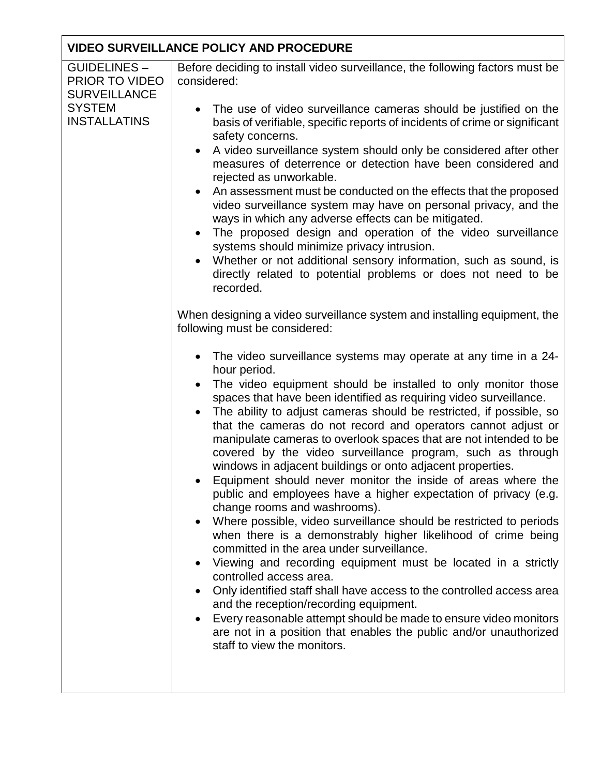| <b>GUIDELINES-</b><br>PRIOR TO VIDEO                        | Before deciding to install video surveillance, the following factors must be<br>considered:                                                                                                                                                                                                                                                                                                                                                                                                                                                                                                                                                                                                                                                                                                                                                                                                                                                                                                                                                                                                                                                                                                                                                                                                                                                                                                                                                                                                                                                                                                                                                                                                                                                                                                                                                                                                                                                                                                                                                                                                                                                                                                                                                                         |  |  |  |
|-------------------------------------------------------------|---------------------------------------------------------------------------------------------------------------------------------------------------------------------------------------------------------------------------------------------------------------------------------------------------------------------------------------------------------------------------------------------------------------------------------------------------------------------------------------------------------------------------------------------------------------------------------------------------------------------------------------------------------------------------------------------------------------------------------------------------------------------------------------------------------------------------------------------------------------------------------------------------------------------------------------------------------------------------------------------------------------------------------------------------------------------------------------------------------------------------------------------------------------------------------------------------------------------------------------------------------------------------------------------------------------------------------------------------------------------------------------------------------------------------------------------------------------------------------------------------------------------------------------------------------------------------------------------------------------------------------------------------------------------------------------------------------------------------------------------------------------------------------------------------------------------------------------------------------------------------------------------------------------------------------------------------------------------------------------------------------------------------------------------------------------------------------------------------------------------------------------------------------------------------------------------------------------------------------------------------------------------|--|--|--|
| <b>SURVEILLANCE</b><br><b>SYSTEM</b><br><b>INSTALLATINS</b> | The use of video surveillance cameras should be justified on the<br>basis of verifiable, specific reports of incidents of crime or significant<br>safety concerns.<br>A video surveillance system should only be considered after other<br>$\bullet$<br>measures of deterrence or detection have been considered and<br>rejected as unworkable.<br>An assessment must be conducted on the effects that the proposed<br>$\bullet$<br>video surveillance system may have on personal privacy, and the<br>ways in which any adverse effects can be mitigated.<br>The proposed design and operation of the video surveillance<br>$\bullet$<br>systems should minimize privacy intrusion.<br>Whether or not additional sensory information, such as sound, is<br>directly related to potential problems or does not need to be<br>recorded.<br>When designing a video surveillance system and installing equipment, the<br>following must be considered:<br>The video surveillance systems may operate at any time in a 24-<br>hour period.<br>The video equipment should be installed to only monitor those<br>spaces that have been identified as requiring video surveillance.<br>The ability to adjust cameras should be restricted, if possible, so<br>that the cameras do not record and operators cannot adjust or<br>manipulate cameras to overlook spaces that are not intended to be<br>covered by the video surveillance program, such as through<br>windows in adjacent buildings or onto adjacent properties.<br>Equipment should never monitor the inside of areas where the<br>public and employees have a higher expectation of privacy (e.g.<br>change rooms and washrooms).<br>Where possible, video surveillance should be restricted to periods<br>when there is a demonstrably higher likelihood of crime being<br>committed in the area under surveillance.<br>Viewing and recording equipment must be located in a strictly<br>controlled access area.<br>Only identified staff shall have access to the controlled access area<br>and the reception/recording equipment.<br>Every reasonable attempt should be made to ensure video monitors<br>are not in a position that enables the public and/or unauthorized<br>staff to view the monitors. |  |  |  |
|                                                             |                                                                                                                                                                                                                                                                                                                                                                                                                                                                                                                                                                                                                                                                                                                                                                                                                                                                                                                                                                                                                                                                                                                                                                                                                                                                                                                                                                                                                                                                                                                                                                                                                                                                                                                                                                                                                                                                                                                                                                                                                                                                                                                                                                                                                                                                     |  |  |  |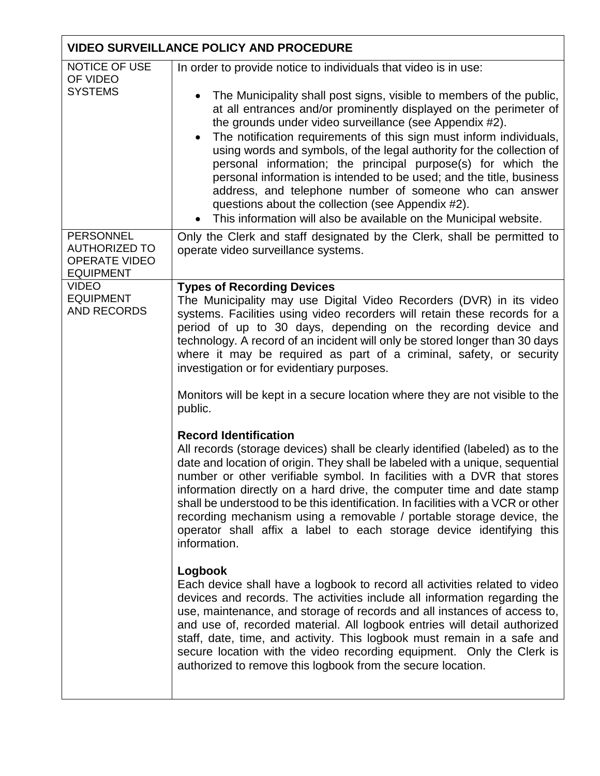| <b>VIDEO SURVEILLANCE POLICY AND PROCEDURE</b>                                       |                                                                                                                                                                                                                                                                                                                                                                                                                                                                                                                                                                                                                                                                                                                                                      |  |
|--------------------------------------------------------------------------------------|------------------------------------------------------------------------------------------------------------------------------------------------------------------------------------------------------------------------------------------------------------------------------------------------------------------------------------------------------------------------------------------------------------------------------------------------------------------------------------------------------------------------------------------------------------------------------------------------------------------------------------------------------------------------------------------------------------------------------------------------------|--|
| NOTICE OF USE<br>OF VIDEO<br><b>SYSTEMS</b>                                          | In order to provide notice to individuals that video is in use:<br>The Municipality shall post signs, visible to members of the public,<br>at all entrances and/or prominently displayed on the perimeter of<br>the grounds under video surveillance (see Appendix #2).<br>The notification requirements of this sign must inform individuals,<br>using words and symbols, of the legal authority for the collection of<br>personal information; the principal purpose(s) for which the<br>personal information is intended to be used; and the title, business<br>address, and telephone number of someone who can answer<br>questions about the collection (see Appendix #2).<br>This information will also be available on the Municipal website. |  |
| <b>PERSONNEL</b><br><b>AUTHORIZED TO</b><br><b>OPERATE VIDEO</b><br><b>EQUIPMENT</b> | Only the Clerk and staff designated by the Clerk, shall be permitted to<br>operate video surveillance systems.                                                                                                                                                                                                                                                                                                                                                                                                                                                                                                                                                                                                                                       |  |
| <b>VIDEO</b><br><b>EQUIPMENT</b><br>AND RECORDS                                      | <b>Types of Recording Devices</b><br>The Municipality may use Digital Video Recorders (DVR) in its video<br>systems. Facilities using video recorders will retain these records for a<br>period of up to 30 days, depending on the recording device and<br>technology. A record of an incident will only be stored longer than 30 days<br>where it may be required as part of a criminal, safety, or security<br>investigation or for evidentiary purposes.                                                                                                                                                                                                                                                                                          |  |
|                                                                                      | Monitors will be kept in a secure location where they are not visible to the<br>public.                                                                                                                                                                                                                                                                                                                                                                                                                                                                                                                                                                                                                                                              |  |
|                                                                                      | <b>Record Identification</b><br>All records (storage devices) shall be clearly identified (labeled) as to the<br>date and location of origin. They shall be labeled with a unique, sequential<br>number or other verifiable symbol. In facilities with a DVR that stores<br>information directly on a hard drive, the computer time and date stamp<br>shall be understood to be this identification. In facilities with a VCR or other<br>recording mechanism using a removable / portable storage device, the<br>operator shall affix a label to each storage device identifying this<br>information.                                                                                                                                               |  |
|                                                                                      | Logbook<br>Each device shall have a logbook to record all activities related to video<br>devices and records. The activities include all information regarding the<br>use, maintenance, and storage of records and all instances of access to,<br>and use of, recorded material. All logbook entries will detail authorized<br>staff, date, time, and activity. This logbook must remain in a safe and<br>secure location with the video recording equipment. Only the Clerk is<br>authorized to remove this logbook from the secure location.                                                                                                                                                                                                       |  |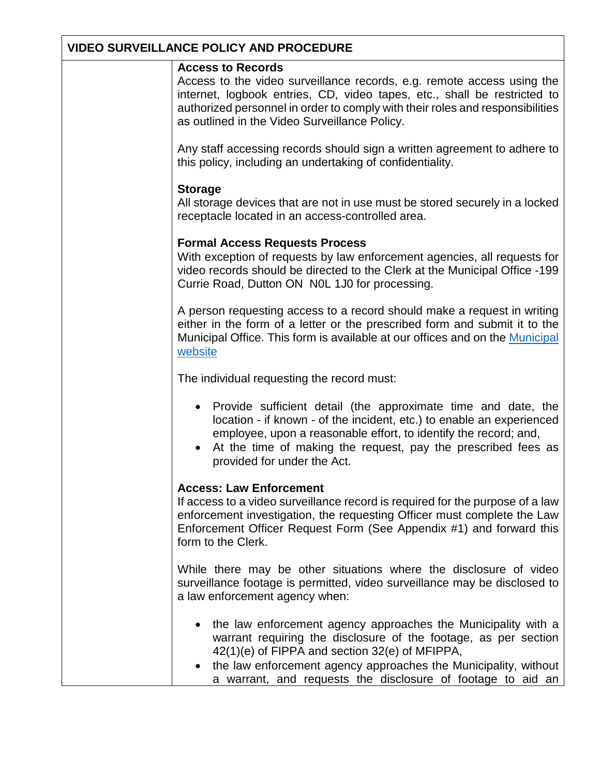#### **Access to Records**

Access to the video surveillance records, e.g. remote access using the internet, logbook entries, CD, video tapes, etc., shall be restricted to authorized personnel in order to comply with their roles and responsibilities as outlined in the Video Surveillance Policy.

Any staff accessing records should sign a written agreement to adhere to this policy, including an undertaking of confidentiality.

#### **Storage**

All storage devices that are not in use must be stored securely in a locked receptacle located in an access-controlled area.

#### **Formal Access Requests Process**

With exception of requests by law enforcement agencies, all requests for video records should be directed to the Clerk at the Municipal Office -199 Currie Road, Dutton ON N0L 1J0 for processing.

A person requesting access to a record should make a request in writing either in the form of a letter or the prescribed form and submit it to the Municipal Office. This form is available at our offices and on the [Municipal](http://www.duttondunwich.on.ca/)  [website](http://www.duttondunwich.on.ca/)

The individual requesting the record must:

- Provide sufficient detail (the approximate time and date, the location - if known - of the incident, etc.) to enable an experienced employee, upon a reasonable effort, to identify the record; and,
- At the time of making the request, pay the prescribed fees as provided for under the Act.

#### **Access: Law Enforcement**

If access to a video surveillance record is required for the purpose of a law enforcement investigation, the requesting Officer must complete the Law Enforcement Officer Request Form (See Appendix #1) and forward this form to the Clerk.

While there may be other situations where the disclosure of video surveillance footage is permitted, video surveillance may be disclosed to a law enforcement agency when:

- the law enforcement agency approaches the Municipality with a warrant requiring the disclosure of the footage, as per section 42(1)(e) of FIPPA and section 32(e) of MFIPPA,
- the law enforcement agency approaches the Municipality, without a warrant, and requests the disclosure of footage to aid an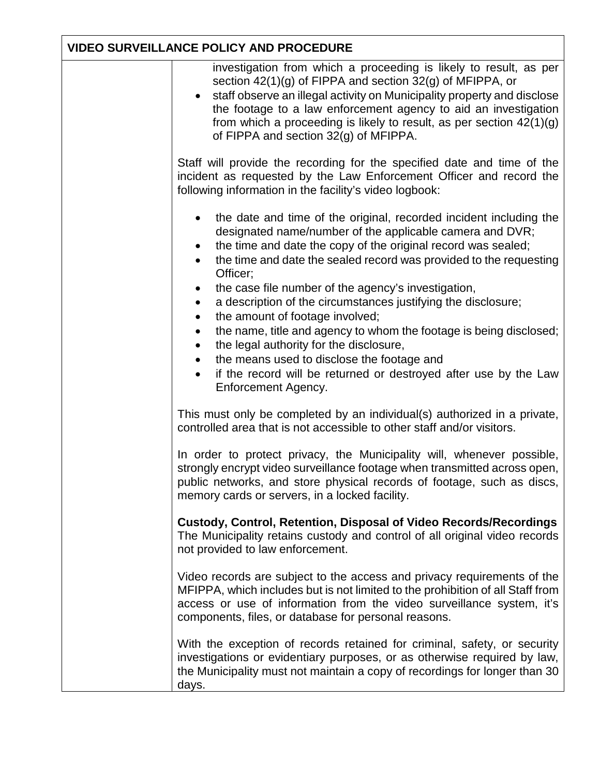| investigation from which a proceeding is likely to result, as per<br>section $42(1)(g)$ of FIPPA and section $32(g)$ of MFIPPA, or<br>staff observe an illegal activity on Municipality property and disclose<br>the footage to a law enforcement agency to aid an investigation<br>from which a proceeding is likely to result, as per section $42(1)(g)$<br>of FIPPA and section 32(g) of MFIPPA. |
|-----------------------------------------------------------------------------------------------------------------------------------------------------------------------------------------------------------------------------------------------------------------------------------------------------------------------------------------------------------------------------------------------------|
| Staff will provide the recording for the specified date and time of the<br>incident as requested by the Law Enforcement Officer and record the<br>following information in the facility's video logbook:                                                                                                                                                                                            |
| the date and time of the original, recorded incident including the<br>$\bullet$<br>designated name/number of the applicable camera and DVR;<br>the time and date the copy of the original record was sealed;<br>the time and date the sealed record was provided to the requesting<br>Officer;                                                                                                      |
| the case file number of the agency's investigation,<br>a description of the circumstances justifying the disclosure;<br>$\bullet$                                                                                                                                                                                                                                                                   |
| the amount of footage involved;<br>$\bullet$                                                                                                                                                                                                                                                                                                                                                        |
| the name, title and agency to whom the footage is being disclosed;<br>$\bullet$<br>the legal authority for the disclosure,                                                                                                                                                                                                                                                                          |
| the means used to disclose the footage and                                                                                                                                                                                                                                                                                                                                                          |
| if the record will be returned or destroyed after use by the Law<br>$\bullet$<br>Enforcement Agency.                                                                                                                                                                                                                                                                                                |
| This must only be completed by an individual(s) authorized in a private,<br>controlled area that is not accessible to other staff and/or visitors.                                                                                                                                                                                                                                                  |
| In order to protect privacy, the Municipality will, whenever possible,<br>strongly encrypt video surveillance footage when transmitted across open,<br>public networks, and store physical records of footage, such as discs,<br>memory cards or servers, in a locked facility.                                                                                                                     |
| <b>Custody, Control, Retention, Disposal of Video Records/Recordings</b><br>The Municipality retains custody and control of all original video records<br>not provided to law enforcement.                                                                                                                                                                                                          |
| Video records are subject to the access and privacy requirements of the<br>MFIPPA, which includes but is not limited to the prohibition of all Staff from<br>access or use of information from the video surveillance system, it's<br>components, files, or database for personal reasons.                                                                                                          |
| With the exception of records retained for criminal, safety, or security<br>investigations or evidentiary purposes, or as otherwise required by law,<br>the Municipality must not maintain a copy of recordings for longer than 30<br>days.                                                                                                                                                         |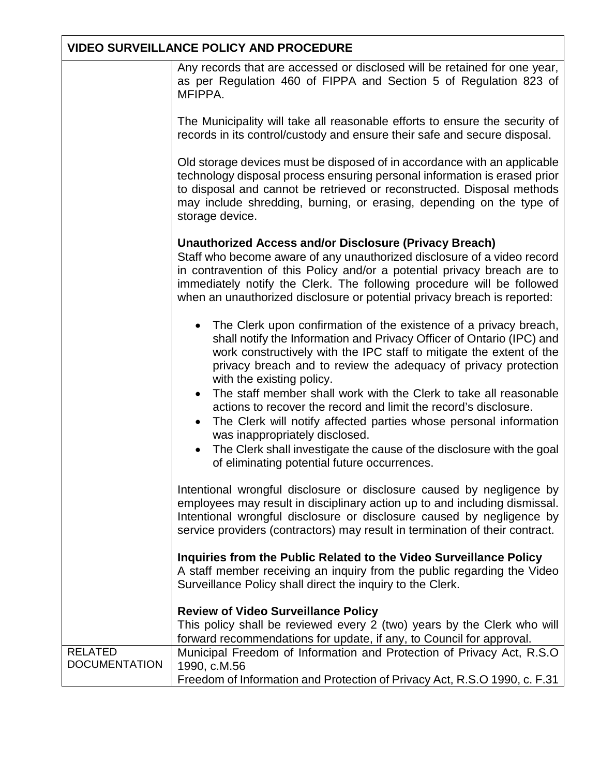|                      | Any records that are accessed or disclosed will be retained for one year,<br>as per Regulation 460 of FIPPA and Section 5 of Regulation 823 of<br>MFIPPA.                                                                                                                                                                                                                                            |
|----------------------|------------------------------------------------------------------------------------------------------------------------------------------------------------------------------------------------------------------------------------------------------------------------------------------------------------------------------------------------------------------------------------------------------|
|                      | The Municipality will take all reasonable efforts to ensure the security of<br>records in its control/custody and ensure their safe and secure disposal.                                                                                                                                                                                                                                             |
|                      | Old storage devices must be disposed of in accordance with an applicable<br>technology disposal process ensuring personal information is erased prior<br>to disposal and cannot be retrieved or reconstructed. Disposal methods<br>may include shredding, burning, or erasing, depending on the type of<br>storage device.                                                                           |
|                      | <b>Unauthorized Access and/or Disclosure (Privacy Breach)</b><br>Staff who become aware of any unauthorized disclosure of a video record<br>in contravention of this Policy and/or a potential privacy breach are to<br>immediately notify the Clerk. The following procedure will be followed<br>when an unauthorized disclosure or potential privacy breach is reported:                           |
|                      | The Clerk upon confirmation of the existence of a privacy breach,<br>shall notify the Information and Privacy Officer of Ontario (IPC) and<br>work constructively with the IPC staff to mitigate the extent of the<br>privacy breach and to review the adequacy of privacy protection<br>with the existing policy.<br>The staff member shall work with the Clerk to take all reasonable<br>$\bullet$ |
|                      | actions to recover the record and limit the record's disclosure.<br>The Clerk will notify affected parties whose personal information<br>$\bullet$                                                                                                                                                                                                                                                   |
|                      | was inappropriately disclosed.<br>The Clerk shall investigate the cause of the disclosure with the goal<br>of eliminating potential future occurrences.                                                                                                                                                                                                                                              |
|                      | Intentional wrongful disclosure or disclosure caused by negligence by<br>employees may result in disciplinary action up to and including dismissal.<br>Intentional wrongful disclosure or disclosure caused by negligence by<br>service providers (contractors) may result in termination of their contract.                                                                                         |
|                      | Inquiries from the Public Related to the Video Surveillance Policy<br>A staff member receiving an inquiry from the public regarding the Video<br>Surveillance Policy shall direct the inquiry to the Clerk.                                                                                                                                                                                          |
|                      | <b>Review of Video Surveillance Policy</b><br>This policy shall be reviewed every 2 (two) years by the Clerk who will                                                                                                                                                                                                                                                                                |
| <b>RELATED</b>       | forward recommendations for update, if any, to Council for approval.<br>Municipal Freedom of Information and Protection of Privacy Act, R.S.O                                                                                                                                                                                                                                                        |
| <b>DOCUMENTATION</b> | 1990, c.M.56<br>Freedom of Information and Protection of Privacy Act, R.S.O 1990, c. F.31                                                                                                                                                                                                                                                                                                            |